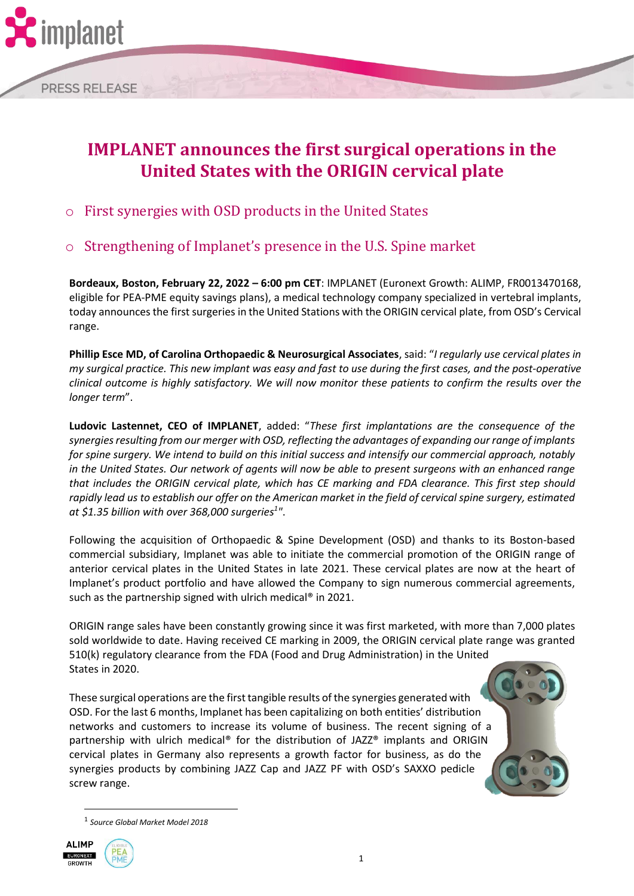

## **IMPLANET announces the first surgical operations in the United States with the ORIGIN cervical plate**

- o First synergies with OSD products in the United States
- o Strengthening of Implanet's presence in the U.S. Spine market

**Bordeaux, Boston, February 22, 2022 – 6:00 pm CET**: IMPLANET (Euronext Growth: ALIMP, FR0013470168, eligible for PEA-PME equity savings plans), a medical technology company specialized in vertebral implants, today announces the first surgeries in the United Stations with the ORIGIN cervical plate, from OSD's Cervical range.

**Phillip Esce MD, of Carolina Orthopaedic & Neurosurgical Associates**, said: "*I regularly use cervical plates in my surgical practice. This new implant was easy and fast to use during the first cases, and the post-operative clinical outcome is highly satisfactory. We will now monitor these patients to confirm the results over the longer term*".

**Ludovic Lastennet, CEO of IMPLANET**, added: "*These first implantations are the consequence of the synergies resulting from our merger with OSD, reflecting the advantages of expanding our range of implants for spine surgery. We intend to build on this initial success and intensify our commercial approach, notably in the United States. Our network of agents will now be able to present surgeons with an enhanced range that includes the ORIGIN cervical plate, which has CE marking and FDA clearance. This first step should rapidly lead us to establish our offer on the American market in the field of cervical spine surgery, estimated at \$1.35 billion with over 368,000 surgeries<sup>1</sup> "*.

Following the acquisition of Orthopaedic & Spine Development (OSD) and thanks to its Boston-based commercial subsidiary, Implanet was able to initiate the commercial promotion of the ORIGIN range of anterior cervical plates in the United States in late 2021. These cervical plates are now at the heart of Implanet's product portfolio and have allowed the Company to sign numerous commercial agreements, such as the partnership signed with ulrich medical<sup>®</sup> in 2021.

ORIGIN range sales have been constantly growing since it was first marketed, with more than 7,000 plates sold worldwide to date. Having received CE marking in 2009, the ORIGIN cervical plate range was granted 510(k) regulatory clearance from the FDA (Food and Drug Administration) in the United States in 2020.

These surgical operations are the first tangible results of the synergies generated with OSD. For the last 6 months, Implanet has been capitalizing on both entities' distribution networks and customers to increase its volume of business. The recent signing of a partnership with ulrich medical® for the distribution of JAZZ® implants and ORIGIN cervical plates in Germany also represents a growth factor for business, as do the synergies products by combining JAZZ Cap and JAZZ PF with OSD's SAXXO pedicle screw range.

<sup>1</sup> *Source Global Market Model 2018*